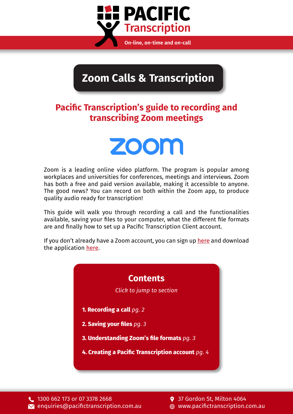

# **Zoom Calls & Transcription**

### **Pacific Transcription's guide to recording and transcribing Zoom meetings**



Zoom is a leading online video platform. The program is popular among workplaces and universities for conferences, meetings and interviews. Zoom has both a free and paid version available, making it accessible to anyone. The good news? You can record on both within the Zoom app, to produce quality audio ready for transcription!

This guide will walk you through recording a call and the functionalities available, saving your files to your computer, what the different file formats are and finally how to set up a Pacific Transcription Client account.

If you don't already have a Zoom account, you can sign up [here](https://zoom.us/signup) and download the application [here](https://zoom.us/download).

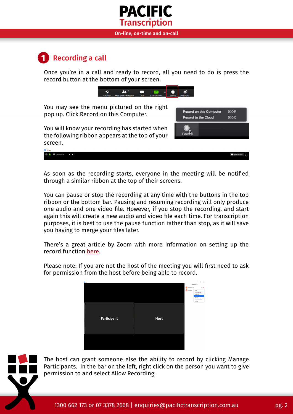## **PACIFIC Transcription**

#### **On-line, on-time and on-call**

#### <span id="page-1-0"></span>**1 Recording a call**

Once you're in a call and ready to record, all you need to do is press the record button at the bottom of your screen.





As soon as the recording starts, everyone in the meeting will be notified through a similar ribbon at the top of their screens.

You can pause or stop the recording at any time with the buttons in the top ribbon or the bottom bar. Pausing and resuming recording will only produce one audio and one video file. However, if you stop the recording, and start again this will create a new audio and video file each time. For transcription purposes, it is best to use the pause function rather than stop, as it will save you having to merge your files later.

There's a great article by Zoom with more information on setting up the record function [here](https://support.zoom.us/hc/en-us/articles/201362473-Local-Recording).

Please note: If you are not the host of the meeting you will first need to ask for permission from the host before being able to record.





The host can grant someone else the ability to record by clicking Manage Participants. In the bar on the left, right click on the person you want to give permission to and select Allow Recording.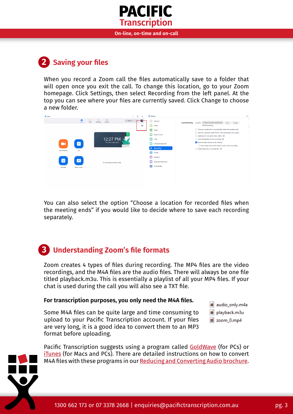

**On-line, on-time and on-call**

## <span id="page-2-0"></span>**2 Saving your files**

When you record a Zoom call the files automatically save to a folder that will open once you exit the call. To change this location, go to your Zoom homepage. Click Settings, then select Recording from the left panel. At the top you can see where your files are currently saved. Click Change to choose a new folder.



You can also select the option "Choose a location for recorded files when the meeting ends" if you would like to decide where to save each recording separately.

### <span id="page-2-1"></span>**3 Understanding Zoom's file formats**

Zoom creates 4 types of files during recording. The MP4 files are the video recordings, and the M4A files are the audio files. There will always be one file titled playback.m3u. This is essentially a playlist of all your MP4 files. If your chat is used during the call you will also see a TXT file.

#### **For transcription purposes, you only need the M4A files.**

Some M4A files can be quite large and time consuming to upload to your Pacific Transcription account. If your files are very long, it is a good idea to convert them to an MP3 format before uploading.



 $\overline{\mathbf{a}}$  zoom 0.mp4

Pacific Transcription suggests using a program called [GoldWave](http://www.goldwave.com/release.php) (for PCs) or [iTunes](http://www.apple.com/au/itunes/) (for Macs and PCs). There are detailed instructions on how to convert M4A files with these programs in our **Reducing and Converting Audio brochure.**